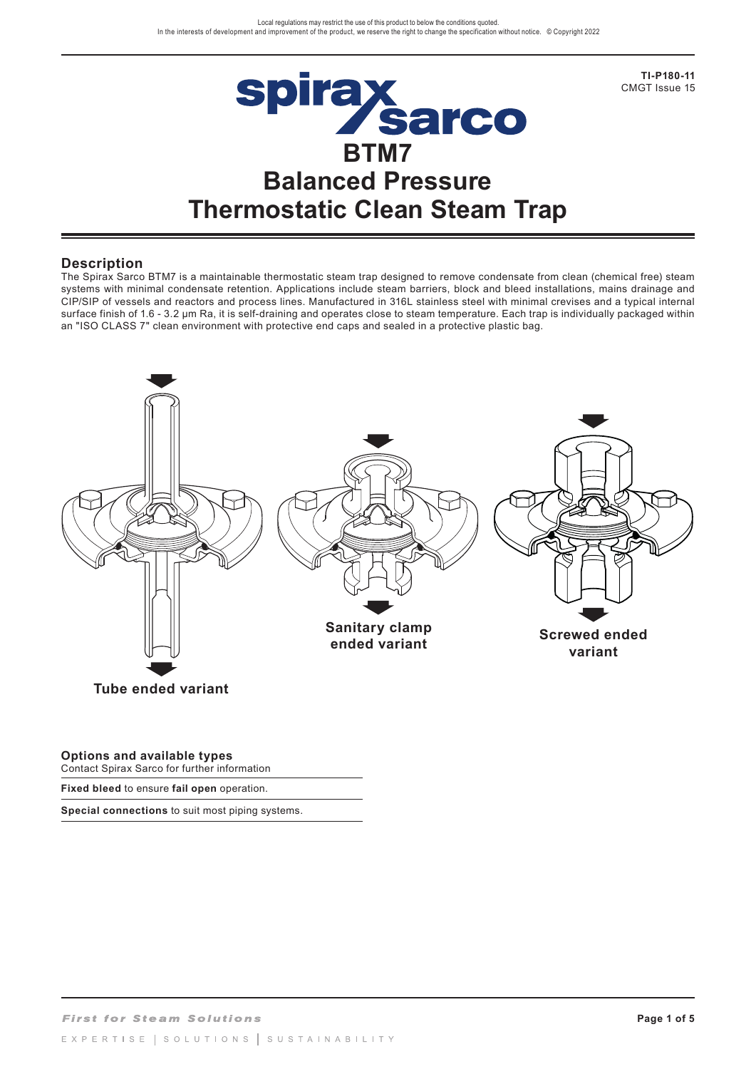

**TI-P180-11**  CMGT Issue 15

## **Description**

The Spirax Sarco BTM7 is a maintainable thermostatic steam trap designed to remove condensate from clean (chemical free) steam systems with minimal condensate retention. Applications include steam barriers, block and bleed installations, mains drainage and CIP/SIP of vessels and reactors and process lines. Manufactured in 316L stainless steel with minimal crevises and a typical internal surface finish of 1.6 - 3.2 µm Ra, it is self-draining and operates close to steam temperature. Each trap is individually packaged within an "ISO CLASS 7" clean environment with protective end caps and sealed in a protective plastic bag.



### **Options and available types**

Contact Spirax Sarco for further information

**Fixed bleed** to ensure **fail open** operation.

**Special connections** to suit most piping systems.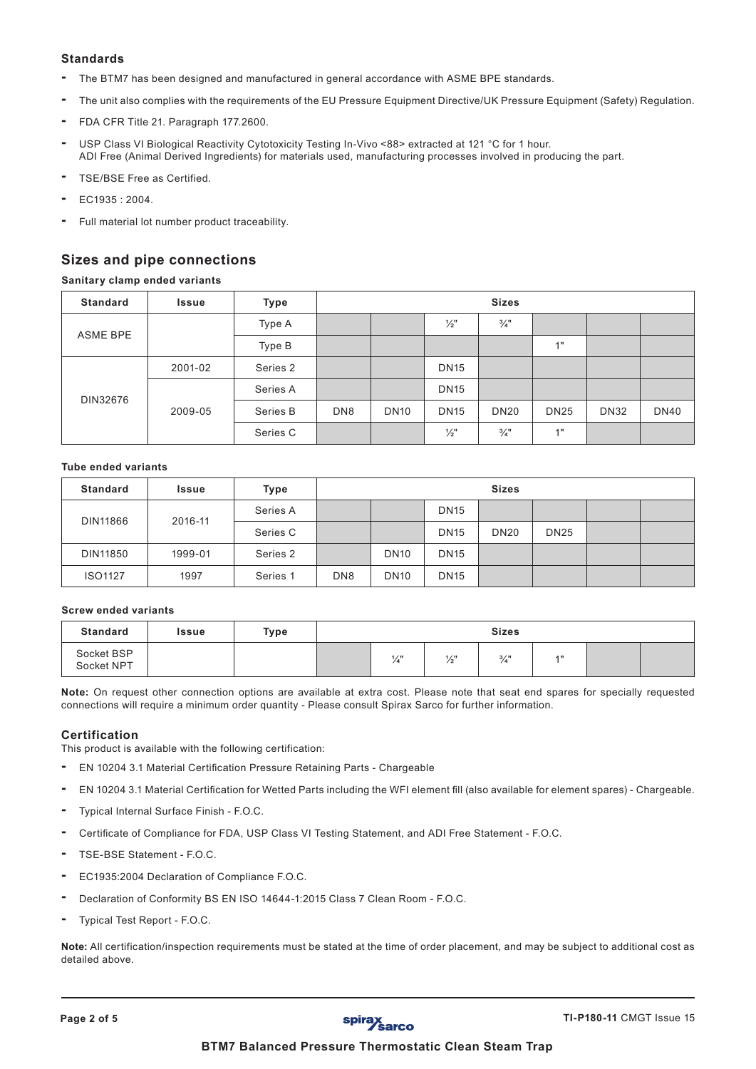## **Standards**

- The BTM7 has been designed and manufactured in general accordance with ASME BPE standards.
- The unit also complies with the requirements of the EU Pressure Equipment Directive/UK Pressure Equipment (Safety) Regulation.
- FDA CFR Title 21. Paragraph 177.2600.
- USP Class VI Biological Reactivity Cytotoxicity Testing In-Vivo <88> extracted at 121 °C for 1 hour. ADI Free (Animal Derived Ingredients) for materials used, manufacturing processes involved in producing the part.
- TSE/BSE Free as Certified.
- EC1935 : 2004.
- Full material lot number product traceability.

# **Sizes and pipe connections**

### **Sanitary clamp ended variants**

| <b>Standard</b> | <b>Issue</b> | Type     | <b>Sizes</b>    |             |                 |                 |             |             |             |  |  |
|-----------------|--------------|----------|-----------------|-------------|-----------------|-----------------|-------------|-------------|-------------|--|--|
| <b>ASME BPE</b> |              | Type A   |                 |             | $\frac{1}{2}$ " | $\frac{3}{4}$ " |             |             |             |  |  |
|                 |              | Type B   |                 |             |                 |                 | 4"          |             |             |  |  |
| DIN32676        | 2001-02      | Series 2 |                 |             | <b>DN15</b>     |                 |             |             |             |  |  |
|                 | 2009-05      | Series A |                 |             | <b>DN15</b>     |                 |             |             |             |  |  |
|                 |              | Series B | DN <sub>8</sub> | <b>DN10</b> | <b>DN15</b>     | <b>DN20</b>     | <b>DN25</b> | <b>DN32</b> | <b>DN40</b> |  |  |
|                 |              | Series C |                 |             | $\frac{1}{2}$ " | $\frac{3}{4}$ " | 4H          |             |             |  |  |

### **Tube ended variants**

| <b>Standard</b> | Issue   | Type     | <b>Sizes</b>    |             |             |             |             |  |  |
|-----------------|---------|----------|-----------------|-------------|-------------|-------------|-------------|--|--|
| DIN11866        | 2016-11 | Series A |                 |             | <b>DN15</b> |             |             |  |  |
|                 |         | Series C |                 |             | <b>DN15</b> | <b>DN20</b> | <b>DN25</b> |  |  |
| DIN11850        | 1999-01 | Series 2 |                 | <b>DN10</b> | <b>DN15</b> |             |             |  |  |
| <b>ISO1127</b>  | 1997    | Series 1 | DN <sub>8</sub> | <b>DN10</b> | <b>DN15</b> |             |             |  |  |

### **Screw ended variants**

| <b>Standard</b>          | Issue | Type | <b>Sizes</b> |     |                 |                 |                   |  |  |
|--------------------------|-------|------|--------------|-----|-----------------|-----------------|-------------------|--|--|
| Socket BSP<br>Socket NPT |       |      |              | 1/1 | $\frac{1}{2}$ " | $\frac{3}{4}$ " | $\overline{A}$ II |  |  |

**Note:** On request other connection options are available at extra cost. Please note that seat end spares for specially requested connections will require a minimum order quantity - Please consult Spirax Sarco for further information.

### **Certification**

This product is available with the following certification:

- **-** EN 10204 3.1 Material Certification Pressure Retaining Parts Chargeable
- **-** EN 10204 3.1 Material Certification for Wetted Parts including the WFI element fill (also available for element spares) Chargeable.
- **-** Typical Internal Surface Finish F.O.C.
- **-** Certificate of Compliance for FDA, USP Class VI Testing Statement, and ADI Free Statement F.O.C.
- **-** TSE-BSE Statement F.O.C.
- **-** EC1935:2004 Declaration of Compliance F.O.C.
- **-** Declaration of Conformity BS EN ISO 14644-1:2015 Class 7 Clean Room F.O.C.
- **-** Typical Test Report F.O.C.

**Note:** All certification/inspection requirements must be stated at the time of order placement, and may be subject to additional cost as detailed above.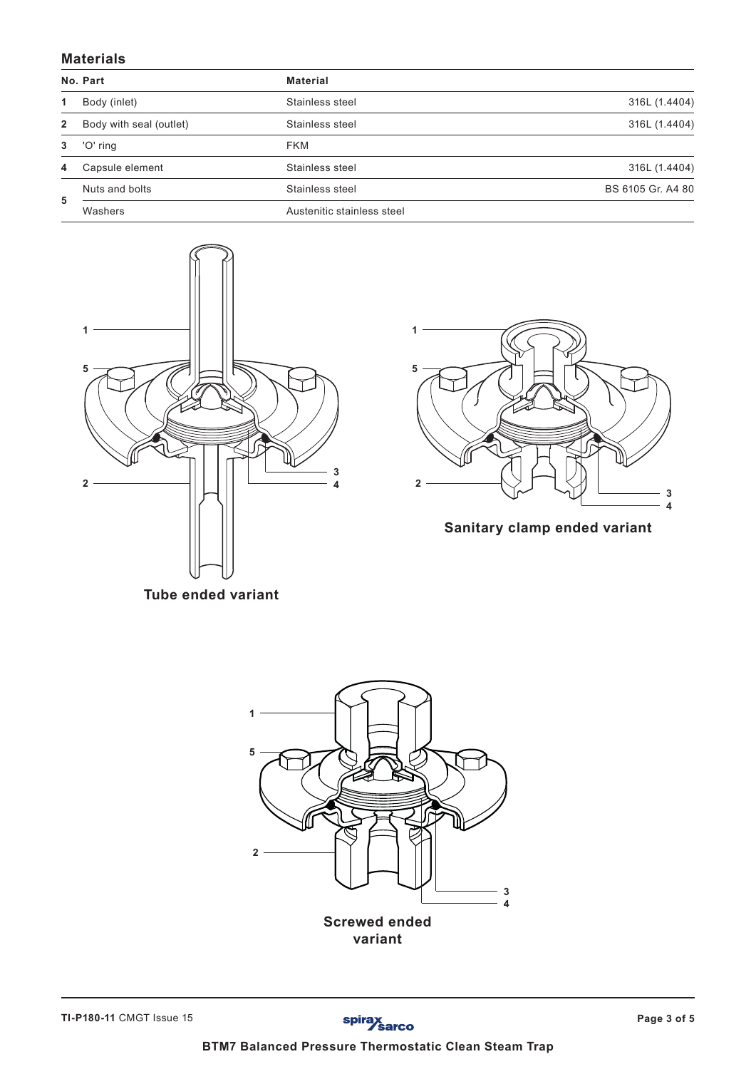## **Materials**

|              | No. Part                | <b>Material</b>            |                   |
|--------------|-------------------------|----------------------------|-------------------|
| 1.           | Body (inlet)            | Stainless steel            | 316L (1.4404)     |
| $\mathbf{2}$ | Body with seal (outlet) | Stainless steel            | 316L (1.4404)     |
| 3            | 'O' ring                | <b>FKM</b>                 |                   |
| 4            | Capsule element         | Stainless steel            | 316L (1.4404)     |
|              | Nuts and bolts          | Stainless steel            | BS 6105 Gr. A4 80 |
| 5            | Washers                 | Austenitic stainless steel |                   |





**Sanitary clamp ended variant**

**Tube ended variant**

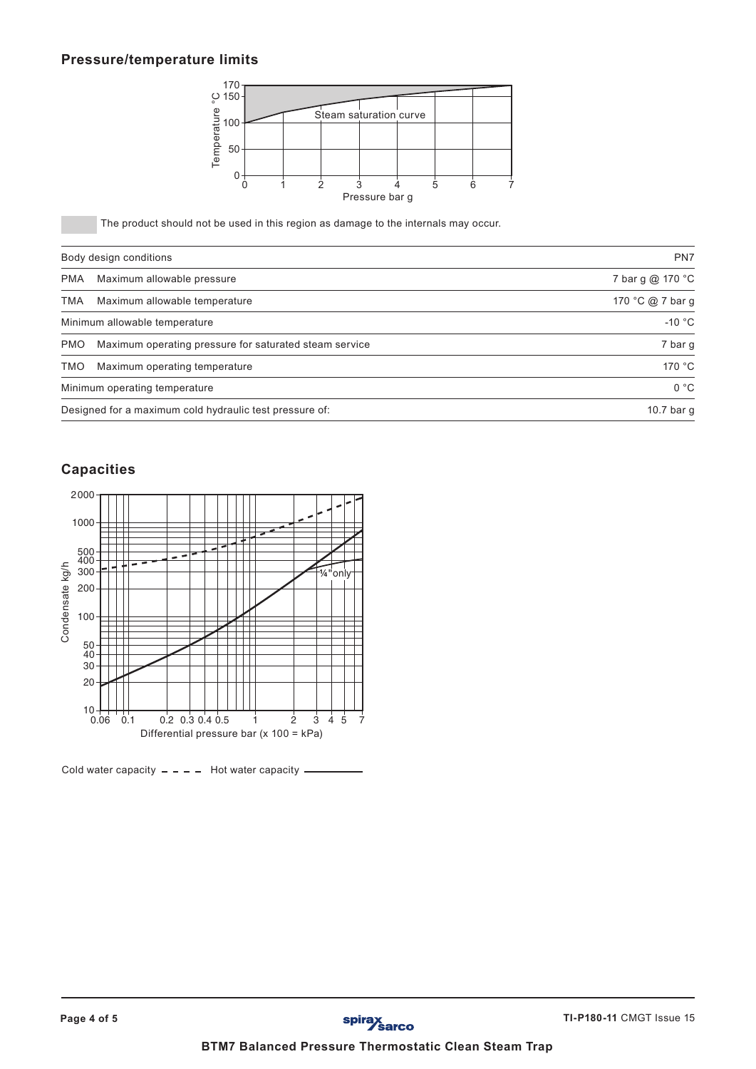## **Pressure/temperature limits**



|                        | spirax<br>Sarco<br><b>BTM7 Balanced Pressure Thermostatic Clean Steam Trap</b>                        |                          |
|------------------------|-------------------------------------------------------------------------------------------------------|--------------------------|
|                        | Page 4 of 5                                                                                           | TI-P180-11 CMGT Issue 15 |
|                        |                                                                                                       |                          |
|                        |                                                                                                       |                          |
|                        | Cold water capacity $- - -$ Hot water capacity $-$                                                    |                          |
|                        | Differential pressure bar (x 100 = kPa)                                                               |                          |
|                        | $10 + + +$<br>0.06 0.1<br>$0.2$ 0.3 0.4 0.5<br>$\overline{c}$<br>345<br>-7<br>1                       |                          |
|                        | $20 -$                                                                                                |                          |
|                        | 50<br>$\overline{40}$<br>30                                                                           |                          |
| Condensate kg/h<br>100 |                                                                                                       |                          |
| 200                    |                                                                                                       |                          |
| 500<br>400<br>300      | - -<br>$\ddagger$<br>1/4" only                                                                        |                          |
| 1000                   |                                                                                                       |                          |
| 2000                   |                                                                                                       |                          |
|                        | <b>Capacities</b>                                                                                     |                          |
|                        |                                                                                                       |                          |
|                        | Designed for a maximum cold hydraulic test pressure of:                                               | 10.7 bar g               |
| <b>TMO</b>             | Maximum operating temperature<br>Minimum operating temperature                                        | 170 °C<br>0 °C           |
| <b>PMO</b>             | Maximum operating pressure for saturated steam service                                                | 7 bar g                  |
|                        | Minimum allowable temperature                                                                         | -10 $\degree$ C          |
| <b>TMA</b>             | Maximum allowable temperature                                                                         | 170 °C @ 7 bar g         |
| <b>PMA</b>             | Maximum allowable pressure                                                                            | 7 bar g @ 170 °C         |
|                        | Body design conditions                                                                                | PN7                      |
|                        | Pressure bar g<br>The product should not be used in this region as damage to the internals may occur. |                          |
|                        | 0<br>$\overline{2}$<br>$\mathbf 0$<br>3<br>5<br>$6\phantom{1}$<br>4<br>1                              |                          |
|                        | $0.150 - 150$<br>$= 100 - 150$<br>$= 50 - 150$                                                        |                          |
|                        | Steam saturation curve                                                                                |                          |
|                        |                                                                                                       |                          |

# **Capacities**

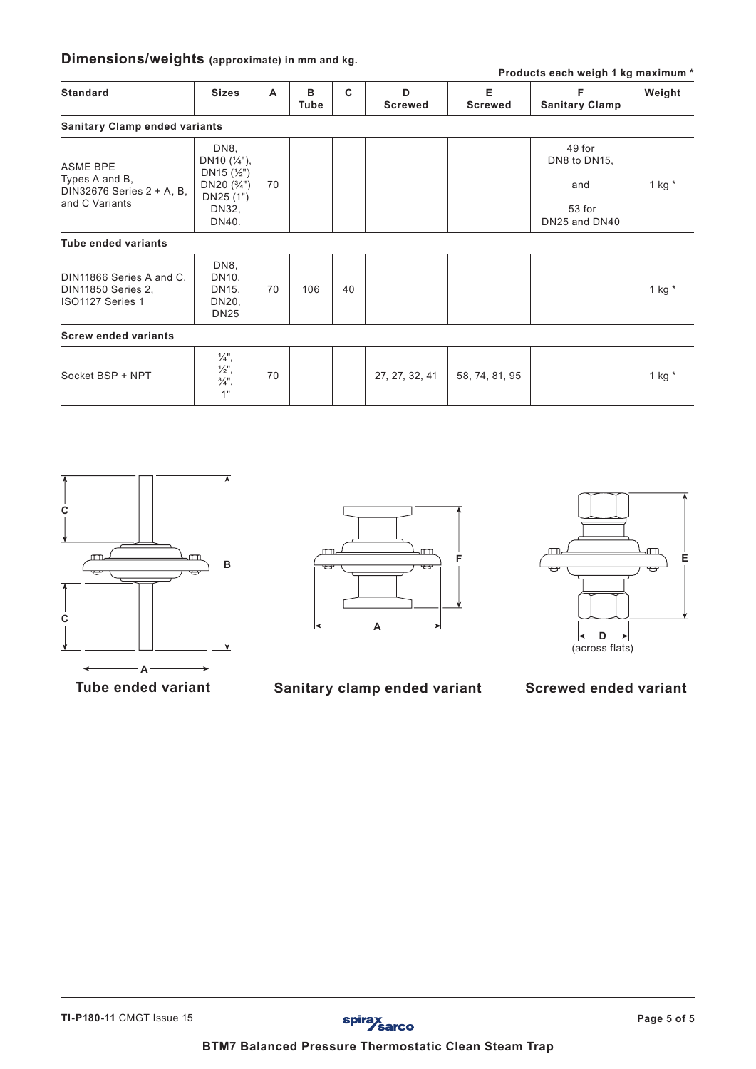# **Dimensions/weights (approximate) in mm and kg.**

| Products each weigh 1 kg maximum *                                               |                                                                                                              |    |           |    |                     |                     |                               |          |  |
|----------------------------------------------------------------------------------|--------------------------------------------------------------------------------------------------------------|----|-----------|----|---------------------|---------------------|-------------------------------|----------|--|
| <b>Standard</b>                                                                  | <b>Sizes</b>                                                                                                 | A  | в<br>Tube | C  | D<br><b>Screwed</b> | E<br><b>Screwed</b> | F<br><b>Sanitary Clamp</b>    | Weight   |  |
| <b>Sanitary Clamp ended variants</b>                                             |                                                                                                              |    |           |    |                     |                     |                               |          |  |
| <b>ASME BPE</b><br>Types A and B,<br>DIN32676 Series 2 + A, B,<br>and C Variants | DN8,<br>DN <sub>10</sub> $(\frac{1}{4})$ ,<br>DN <sub>15</sub> $(\frac{1}{2})$<br>DN20 $(3/4")$<br>DN25 (1") | 70 |           |    |                     |                     | 49 for<br>DN8 to DN15,<br>and | 1 kg $*$ |  |
|                                                                                  | DN32,<br>DN40.                                                                                               |    |           |    |                     |                     | 53 for<br>DN25 and DN40       |          |  |
| <b>Tube ended variants</b>                                                       |                                                                                                              |    |           |    |                     |                     |                               |          |  |
| DIN11866 Series A and C,<br><b>DIN11850 Series 2,</b><br>ISO1127 Series 1        | DN8,<br>DN10,<br>DN15,<br>DN20,<br><b>DN25</b>                                                               | 70 | 106       | 40 |                     |                     |                               | 1 kg $*$ |  |
| <b>Screw ended variants</b>                                                      |                                                                                                              |    |           |    |                     |                     |                               |          |  |
| Socket BSP + NPT                                                                 | $\frac{1}{4}$ ",<br>$\frac{1}{2}$ ",<br>$\frac{3}{4}$ ",<br>1"                                               | 70 |           |    | 27, 27, 32, 41      | 58, 74, 81, 95      |                               | 1 kg $*$ |  |







**Tube ended variant Sanitary clamp ended variant Screwed ended variant**